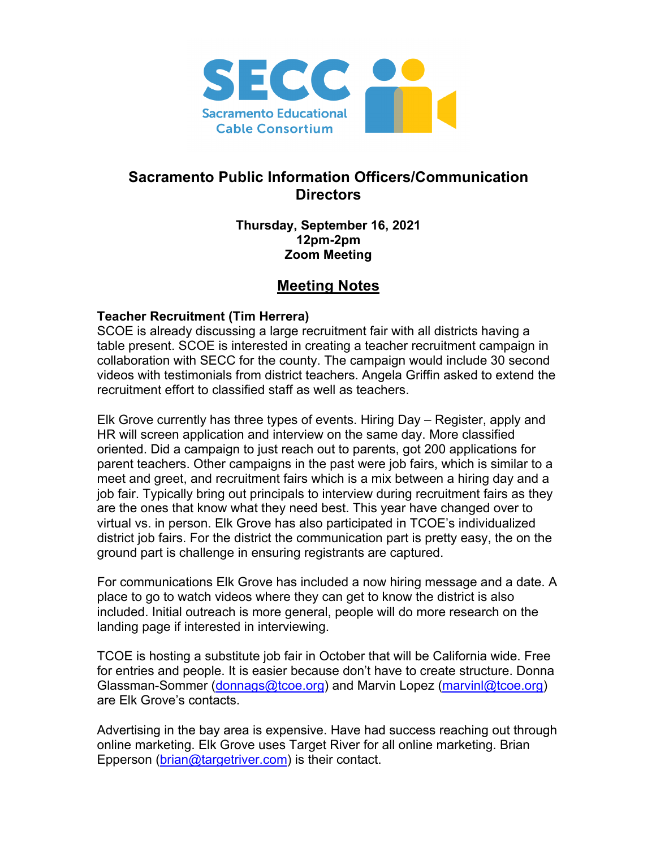

# **Sacramento Public Information Officers/Communication Directors**

### **Thursday, September 16, 2021 12pm-2pm Zoom Meeting**

# **Meeting Notes**

### **Teacher Recruitment (Tim Herrera)**

SCOE is already discussing a large recruitment fair with all districts having a table present. SCOE is interested in creating a teacher recruitment campaign in collaboration with SECC for the county. The campaign would include 30 second videos with testimonials from district teachers. Angela Griffin asked to extend the recruitment effort to classified staff as well as teachers.

Elk Grove currently has three types of events. Hiring Day – Register, apply and HR will screen application and interview on the same day. More classified oriented. Did a campaign to just reach out to parents, got 200 applications for parent teachers. Other campaigns in the past were job fairs, which is similar to a meet and greet, and recruitment fairs which is a mix between a hiring day and a job fair. Typically bring out principals to interview during recruitment fairs as they are the ones that know what they need best. This year have changed over to virtual vs. in person. Elk Grove has also participated in TCOE's individualized district job fairs. For the district the communication part is pretty easy, the on the ground part is challenge in ensuring registrants are captured.

For communications Elk Grove has included a now hiring message and a date. A place to go to watch videos where they can get to know the district is also included. Initial outreach is more general, people will do more research on the landing page if interested in interviewing.

TCOE is hosting a substitute job fair in October that will be California wide. Free for entries and people. It is easier because don't have to create structure. Donna Glassman-Sommer (donnags@tcoe.org) and Marvin Lopez (marvinl@tcoe.org) are Elk Grove's contacts.

Advertising in the bay area is expensive. Have had success reaching out through online marketing. Elk Grove uses Target River for all online marketing. Brian Epperson (brian@targetriver.com) is their contact.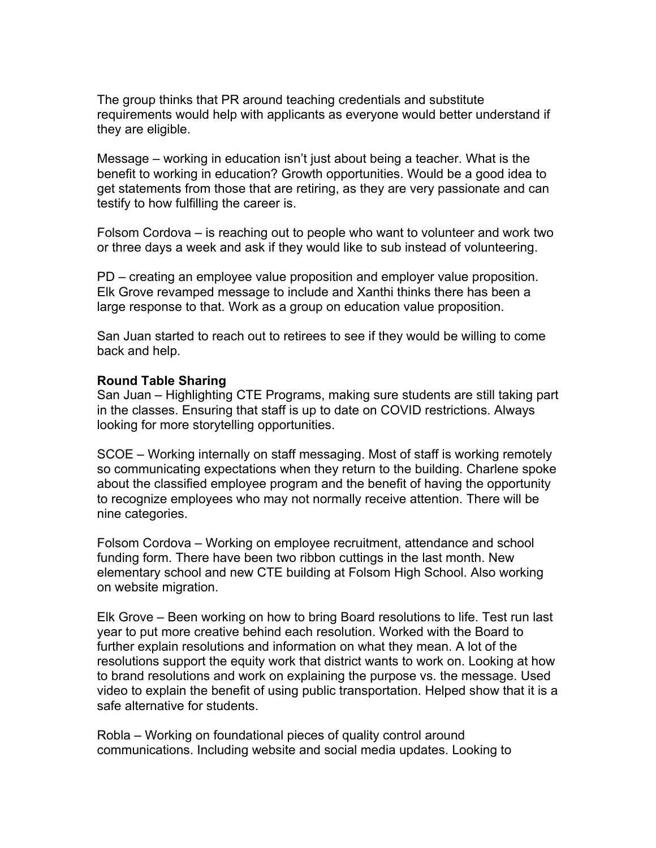The group thinks that PR around teaching credentials and substitute requirements would help with applicants as everyone would better understand if they are eligible.

Message – working in education isn't just about being a teacher. What is the benefit to working in education? Growth opportunities. Would be a good idea to get statements from those that are retiring, as they are very passionate and can testify to how fulfilling the career is.

Folsom Cordova – is reaching out to people who want to volunteer and work two or three days a week and ask if they would like to sub instead of volunteering.

PD – creating an employee value proposition and employer value proposition. Elk Grove revamped message to include and Xanthi thinks there has been a large response to that. Work as a group on education value proposition.

San Juan started to reach out to retirees to see if they would be willing to come back and help.

### **Round Table Sharing**

San Juan – Highlighting CTE Programs, making sure students are still taking part in the classes. Ensuring that staff is up to date on COVID restrictions. Always looking for more storytelling opportunities.

SCOE – Working internally on staff messaging. Most of staff is working remotely so communicating expectations when they return to the building. Charlene spoke about the classified employee program and the benefit of having the opportunity to recognize employees who may not normally receive attention. There will be nine categories.

Folsom Cordova – Working on employee recruitment, attendance and school funding form. There have been two ribbon cuttings in the last month. New elementary school and new CTE building at Folsom High School. Also working on website migration.

Elk Grove – Been working on how to bring Board resolutions to life. Test run last year to put more creative behind each resolution. Worked with the Board to further explain resolutions and information on what they mean. A lot of the resolutions support the equity work that district wants to work on. Looking at how to brand resolutions and work on explaining the purpose vs. the message. Used video to explain the benefit of using public transportation. Helped show that it is a safe alternative for students.

Robla – Working on foundational pieces of quality control around communications. Including website and social media updates. Looking to